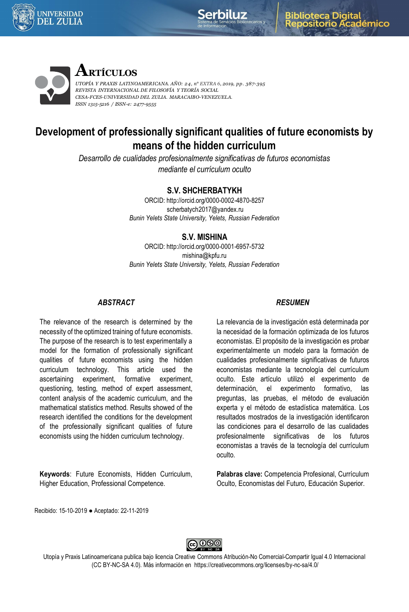





# **ARTÍCULOS**

*UTOPÍA Y PRAXIS LATINOAMERICANA. AÑO: 24, n° EXTRA 6, 2019, pp. 387-395 REVISTA INTERNACIONAL DE FILOSOFÍA Y TEORÍA SOCIAL CESA-FCES-UNIVERSIDAD DEL ZULIA. MARACAIBO-VENEZUELA. ISSN 1315-5216 / ISSN-e: 2477-9555*

# **Development of professionally significant qualities of future economists by means of the hidden curriculum**

*Desarrollo de cualidades profesionalmente significativas de futuros economistas mediante el currículum oculto*

## **S.V. SHCHERBATYKH**

ORCID: http://orcid.org/0000-0002-4870-8257 scherbatych2017@yandex.ru *Bunin Yelets State University, Yelets, Russian Federation*

## **S.V. MISHINA**

ORCID: http://orcid.org/0000-0001-6957-5732 mishina@kpfu.ru *Bunin Yelets State University, Yelets, Russian Federation*

#### *ABSTRACT*

The relevance of the research is determined by the necessity of the optimized training of future economists. The purpose of the research is to test experimentally a model for the formation of professionally significant qualities of future economists using the hidden curriculum technology. This article used the ascertaining experiment, formative experiment, questioning, testing, method of expert assessment, content analysis of the academic curriculum, and the mathematical statistics method. Results showed of the research identified the conditions for the development of the professionally significant qualities of future economists using the hidden curriculum technology.

**Keywords**: Future Economists, Hidden Curriculum, Higher Education, Professional Competence.

#### *RESUMEN*

La relevancia de la investigación está determinada por la necesidad de la formación optimizada de los futuros economistas. El propósito de la investigación es probar experimentalmente un modelo para la formación de cualidades profesionalmente significativas de futuros economistas mediante la tecnología del currículum oculto. Este artículo utilizó el experimento de determinación, el experimento formativo, las preguntas, las pruebas, el método de evaluación experta y el método de estadística matemática. Los resultados mostrados de la investigación identificaron las condiciones para el desarrollo de las cualidades profesionalmente significativas de los futuros economistas a través de la tecnología del currículum oculto.

**Palabras clave:** Competencia Profesional, Currículum Oculto, Economistas del Futuro, Educación Superior.

Recibido: 15-10-2019 ● Aceptado: 22-11-2019



Utopía y Praxis Latinoamericana publica bajo licencia Creative Commons Atribución-No Comercial-Compartir Igual 4.0 Internacional (CC BY-NC-SA 4.0). Más información en https://creativecommons.org/licenses/by-nc-sa/4.0/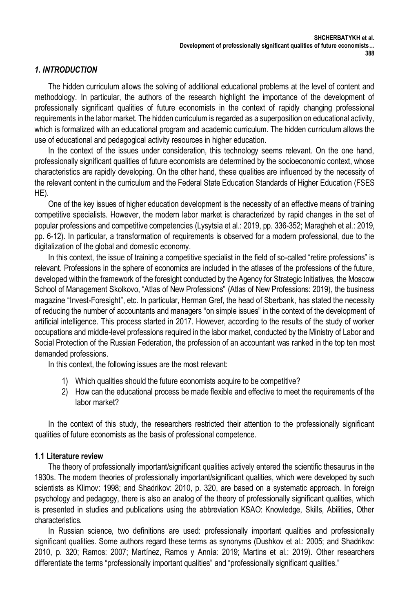## *1. INTRODUCTION*

The hidden curriculum allows the solving of additional educational problems at the level of content and methodology. In particular, the authors of the research highlight the importance of the development of professionally significant qualities of future economists in the context of rapidly changing professional requirements in the labor market. The hidden curriculum is regarded as a superposition on educational activity, which is formalized with an educational program and academic curriculum. The hidden curriculum allows the use of educational and pedagogical activity resources in higher education.

In the context of the issues under consideration, this technology seems relevant. On the one hand, professionally significant qualities of future economists are determined by the socioeconomic context, whose characteristics are rapidly developing. On the other hand, these qualities are influenced by the necessity of the relevant content in the curriculum and the Federal State Education Standards of Higher Education (FSES HE).

One of the key issues of higher education development is the necessity of an effective means of training competitive specialists. However, the modern labor market is characterized by rapid changes in the set of popular professions and competitive competencies (Lysytsia et al.: 2019, pp. 336-352; Maragheh et al.: 2019, pp. 6-12). In particular, a transformation of requirements is observed for a modern professional, due to the digitalization of the global and domestic economy.

In this context, the issue of training a competitive specialist in the field of so-called "retire professions" is relevant. Professions in the sphere of economics are included in the atlases of the professions of the future, developed within the framework of the foresight conducted by the Agency for Strategic Initiatives, the Moscow School of Management Skolkovo, "Atlas of New Professions" (Atlas of New Professions: 2019), the business magazine "Invest-Foresight", etc. In particular, Herman Gref, the head of Sberbank, has stated the necessity of reducing the number of accountants and managers "on simple issues" in the context of the development of artificial intelligence. This process started in 2017. However, according to the results of the study of worker occupations and middle-level professions required in the labor market, conducted by the Ministry of Labor and Social Protection of the Russian Federation, the profession of an accountant was ranked in the top ten most demanded professions.

In this context, the following issues are the most relevant:

- 1) Which qualities should the future economists acquire to be competitive?
- 2) How can the educational process be made flexible and effective to meet the requirements of the labor market?

In the context of this study, the researchers restricted their attention to the professionally significant qualities of future economists as the basis of professional competence.

#### **1.1 Literature review**

The theory of professionally important/significant qualities actively entered the scientific thesaurus in the 1930s. The modern theories of professionally important/significant qualities, which were developed by such scientists as Klimov: 1998; and Shadrikov: 2010, p. 320, are based on a systematic approach. In foreign psychology and pedagogy, there is also an analog of the theory of professionally significant qualities, which is presented in studies and publications using the abbreviation KSAO: Knowledge, Skills, Abilities, Other characteristics.

In Russian science, two definitions are used: professionally important qualities and professionally significant qualities. Some authors regard these terms as synonyms (Dushkov et al.: 2005; and Shadrikov: 2010, p. 320; Ramos: 2007; Martínez, Ramos y Annía: 2019; Martins et al.: 2019). Other researchers differentiate the terms "professionally important qualities" and "professionally significant qualities."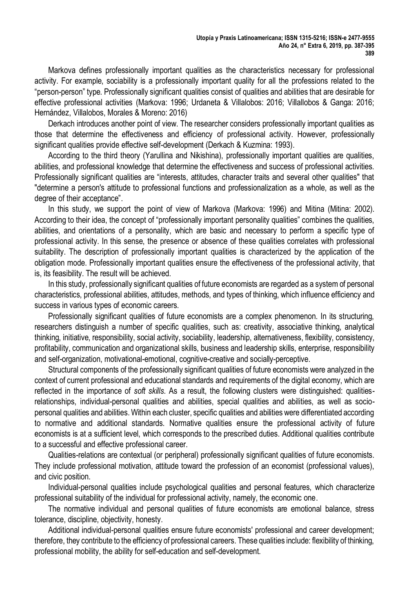Markova defines professionally important qualities as the characteristics necessary for professional activity. For example, sociability is a professionally important quality for all the professions related to the "person-person" type. Professionally significant qualities consist of qualities and abilities that are desirable for effective professional activities (Markova: 1996; Urdaneta & Villalobos: 2016; Villallobos & Ganga: 2016; Hernández, Villalobos, Morales & Moreno: 2016)

Derkach introduces another point of view. The researcher considers professionally important qualities as those that determine the effectiveness and efficiency of professional activity. However, professionally significant qualities provide effective self-development (Derkach & Kuzmina: 1993).

According to the third theory (Yarullina and Nikishina), professionally important qualities are qualities, abilities, and professional knowledge that determine the effectiveness and success of professional activities. Professionally significant qualities are "interests, attitudes, character traits and several other qualities" that "determine a person's attitude to professional functions and professionalization as a whole, as well as the degree of their acceptance".

In this study, we support the point of view of Markova (Markova: 1996) and Mitina (Mitina: 2002). According to their idea, the concept of "professionally important personality qualities" combines the qualities, abilities, and orientations of a personality, which are basic and necessary to perform a specific type of professional activity. In this sense, the presence or absence of these qualities correlates with professional suitability. The description of professionally important qualities is characterized by the application of the obligation mode. Professionally important qualities ensure the effectiveness of the professional activity, that is, its feasibility. The result will be achieved.

In this study, professionally significant qualities of future economists are regarded as a system of personal characteristics, professional abilities, attitudes, methods, and types of thinking, which influence efficiency and success in various types of economic careers.

Professionally significant qualities of future economists are a complex phenomenon. In its structuring, researchers distinguish a number of specific qualities, such as: creativity, associative thinking, analytical thinking, initiative, responsibility, social activity, sociability, leadership, alternativeness, flexibility, consistency, profitability, communication and organizational skills, business and leadership skills, enterprise, responsibility and self-organization, motivational-emotional, cognitive-creative and socially-perceptive.

Structural components of the professionally significant qualities of future economists were analyzed in the context of current professional and educational standards and requirements of the digital economy, which are reflected in the importance of *soft skills*. As a result, the following clusters were distinguished: qualitiesrelationships, individual-personal qualities and abilities, special qualities and abilities, as well as sociopersonal qualities and abilities. Within each cluster, specific qualities and abilities were differentiated according to normative and additional standards. Normative qualities ensure the professional activity of future economists is at a sufficient level, which corresponds to the prescribed duties. Additional qualities contribute to a successful and effective professional career.

Qualities-relations are contextual (or peripheral) professionally significant qualities of future economists. They include professional motivation, attitude toward the profession of an economist (professional values), and civic position.

Individual-personal qualities include psychological qualities and personal features, which characterize professional suitability of the individual for professional activity, namely, the economic one.

The normative individual and personal qualities of future economists are emotional balance, stress tolerance, discipline, objectivity, honesty.

Additional individual-personal qualities ensure future economists' professional and career development; therefore, they contribute to the efficiency of professional careers. These qualities include: flexibility of thinking, professional mobility, the ability for self-education and self-development.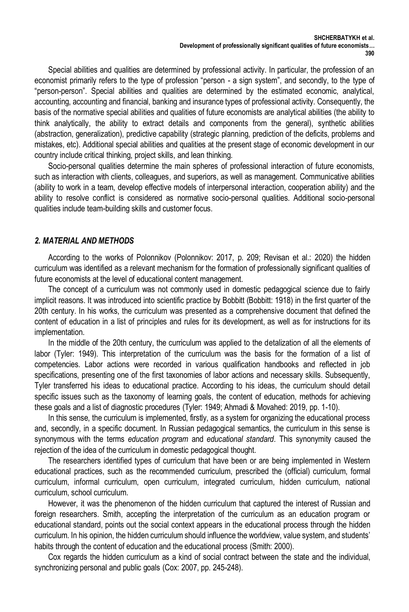Special abilities and qualities are determined by professional activity. In particular, the profession of an economist primarily refers to the type of profession "person - a sign system", and secondly, to the type of "person-person". Special abilities and qualities are determined by the estimated economic, analytical, accounting, accounting and financial, banking and insurance types of professional activity. Consequently, the basis of the normative special abilities and qualities of future economists are analytical abilities (the ability to think analytically, the ability to extract details and components from the general), synthetic abilities (abstraction, generalization), predictive capability (strategic planning, prediction of the deficits, problems and mistakes, etc). Additional special abilities and qualities at the present stage of economic development in our country include critical thinking, project skills, and lean thinking.

Socio-personal qualities determine the main spheres of professional interaction of future economists, such as interaction with clients, colleagues, and superiors, as well as management. Communicative abilities (ability to work in a team, develop effective models of interpersonal interaction, cooperation ability) and the ability to resolve conflict is considered as normative socio-personal qualities. Additional socio-personal qualities include team-building skills and customer focus.

## *2. MATERIAL AND METHODS*

According to the works of Polonnikov (Polonnikov: 2017, p. 209; Revisan et al.: 2020) the hidden curriculum was identified as a relevant mechanism for the formation of professionally significant qualities of future economists at the level of educational content management.

The concept of a curriculum was not commonly used in domestic pedagogical science due to fairly implicit reasons. It was introduced into scientific practice by Bobbitt (Bobbitt: 1918) in the first quarter of the 20th century. In his works, the curriculum was presented as a comprehensive document that defined the content of education in a list of principles and rules for its development, as well as for instructions for its implementation.

In the middle of the 20th century, the curriculum was applied to the detalization of all the elements of labor (Tyler: 1949). This interpretation of the curriculum was the basis for the formation of a list of competencies. Labor actions were recorded in various qualification handbooks and reflected in job specifications, presenting one of the first taxonomies of labor actions and necessary skills. Subsequently, Tyler transferred his ideas to educational practice. According to his ideas, the curriculum should detail specific issues such as the taxonomy of learning goals, the content of education, methods for achieving these goals and a list of diagnostic procedures (Tyler: 1949; Ahmadi & Movahed: 2019, pp. 1-10).

In this sense, the curriculum is implemented, firstly, as a system for organizing the educational process and, secondly, in a specific document. In Russian pedagogical semantics, the curriculum in this sense is synonymous with the terms *education program* and *educational standard*. This synonymity caused the rejection of the idea of the curriculum in domestic pedagogical thought.

The researchers identified types of curriculum that have been or are being implemented in Western educational practices, such as the recommended curriculum, prescribed the (official) curriculum, formal curriculum, informal curriculum, open curriculum, integrated curriculum, hidden curriculum, national curriculum, school curriculum.

However, it was the phenomenon of the hidden curriculum that captured the interest of Russian and foreign researchers. Smith, accepting the interpretation of the curriculum as an education program or educational standard, points out the social context appears in the educational process through the hidden curriculum. In his opinion, the hidden curriculum should influence the worldview, value system, and students' habits through the content of education and the educational process (Smith: 2000).

Cox regards the hidden curriculum as a kind of social contract between the state and the individual, synchronizing personal and public goals (Cox: 2007, pp. 245-248).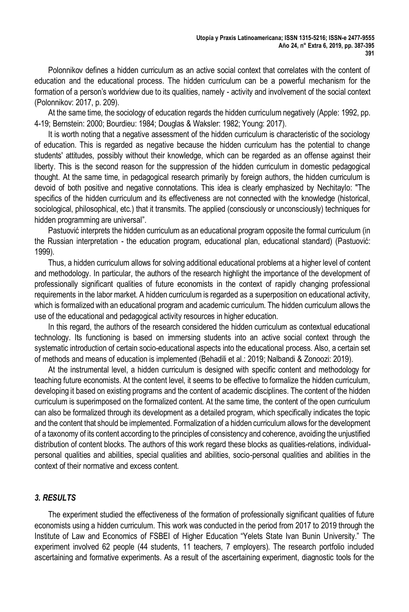Polonnikov defines a hidden curriculum as an active social context that correlates with the content of education and the educational process. The hidden curriculum can be a powerful mechanism for the formation of a person's worldview due to its qualities, namely - activity and involvement of the social context (Polonnikov: 2017, p. 209).

At the same time, the sociology of education regards the hidden curriculum negatively (Apple: 1992, pp. 4-19; Bernstein: 2000; Bourdieu: 1984; Douglas & Waksler: 1982; Young: 2017).

It is worth noting that a negative assessment of the hidden curriculum is characteristic of the sociology of education. This is regarded as negative because the hidden curriculum has the potential to change students' attitudes, possibly without their knowledge, which can be regarded as an offense against their liberty. This is the second reason for the suppression of the hidden curriculum in domestic pedagogical thought. At the same time, in pedagogical research primarily by foreign authors, the hidden curriculum is devoid of both positive and negative connotations. This idea is clearly emphasized by Nechitaylo: "The specifics of the hidden curriculum and its effectiveness are not connected with the knowledge (historical, sociological, philosophical, etc.) that it transmits. The applied (consciously or unconsciously) techniques for hidden programming are universal".

Pastuović interprets the hidden curriculum as an educational program opposite the formal curriculum (in the Russian interpretation - the education program, educational plan, educational standard) (Pastuović: 1999).

Thus, a hidden curriculum allows for solving additional educational problems at a higher level of content and methodology. In particular, the authors of the research highlight the importance of the development of professionally significant qualities of future economists in the context of rapidly changing professional requirements in the labor market. A hidden curriculum is regarded as a superposition on educational activity, which is formalized with an educational program and academic curriculum. The hidden curriculum allows the use of the educational and pedagogical activity resources in higher education.

In this regard, the authors of the research considered the hidden curriculum as contextual educational technology. Its functioning is based on immersing students into an active social context through the systematic introduction of certain socio-educational aspects into the educational process. Also, a certain set of methods and means of education is implemented (Behadili et al.: 2019; Nalbandi & Zonoozi: 2019).

At the instrumental level, a hidden curriculum is designed with specific content and methodology for teaching future economists. At the content level, it seems to be effective to formalize the hidden curriculum, developing it based on existing programs and the content of academic disciplines. The content of the hidden curriculum is superimposed on the formalized content. At the same time, the content of the open curriculum can also be formalized through its development as a detailed program, which specifically indicates the topic and the content that should be implemented. Formalization of a hidden curriculum allows for the development of a taxonomy of its content according to the principles of consistency and coherence, avoiding the unjustified distribution of content blocks. The authors of this work regard these blocks as qualities-relations, individualpersonal qualities and abilities, special qualities and abilities, socio-personal qualities and abilities in the context of their normative and excess content.

## *3. RESULTS*

The experiment studied the effectiveness of the formation of professionally significant qualities of future economists using a hidden curriculum. This work was conducted in the period from 2017 to 2019 through the Institute of Law and Economics of FSBEI of Higher Education "Yelets State Ivan Bunin University." The experiment involved 62 people (44 students, 11 teachers, 7 employers). The research portfolio included ascertaining and formative experiments. As a result of the ascertaining experiment, diagnostic tools for the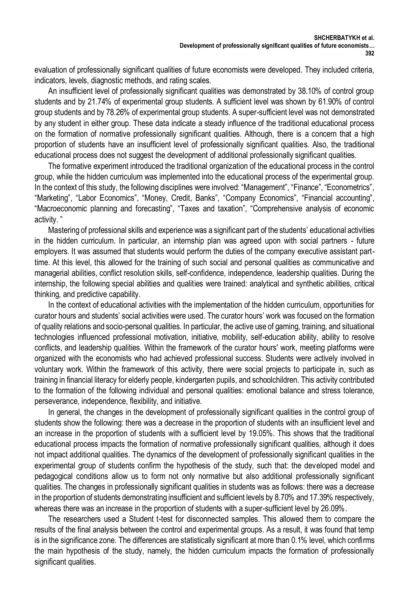evaluation of professionally significant qualities of future economists were developed. They included criteria, indicators, levels, diagnostic methods, and rating scales.

An insufficient level of professionally significant qualities was demonstrated by 38.10% of control group students and by 21.74% of experimental group students. A sufficient level was shown by 61.90% of control group students and by 78.26% of experimental group students. A super-sufficient level was not demonstrated by any student in either group. These data indicate a steady influence of the traditional educational process on the formation of normative professionally significant qualities. Although, there is a concern that a high proportion of students have an insufficient level of professionally significant qualities. Also, the traditional educational process does not suggest the development of additional professionally significant qualities.

The formative experiment introduced the traditional organization of the educational process in the control group, while the hidden curriculum was implemented into the educational process of the experimental group. In the context of this study, the following disciplines were involved: "Management", "Finance", "Econometrics", "Marketing", "Labor Economics", "Money, Credit, Banks", "Company Economics", "Financial accounting", "Macroeconomic planning and forecasting", "Taxes and taxation", "Comprehensive analysis of economic activity. "

Mastering of professional skills and experience was a significant part of the students' educational activities in the hidden curriculum. In particular, an internship plan was agreed upon with social partners - future employers. It was assumed that students would perform the duties of the company executive assistant parttime. At this level, this allowed for the training of such social and personal qualities as communicative and managerial abilities, conflict resolution skills, self-confidence, independence, leadership qualities. During the internship, the following special abilities and qualities were trained: analytical and synthetic abilities, critical thinking, and predictive capability.

In the context of educational activities with the implementation of the hidden curriculum, opportunities for curator hours and students' social activities were used. The curator hours' work was focused on the formation of quality relations and socio-personal qualities. In particular, the active use of gaming, training, and situational technologies influenced professional motivation, initiative, mobility, self-education ability, ability to resolve conflicts, and leadership qualities. Within the framework of the curator hours' work, meeting platforms were organized with the economists who had achieved professional success. Students were actively involved in voluntary work. Within the framework of this activity, there were social projects to participate in, such as training in financial literacy for elderly people, kindergarten pupils, and schoolchildren. This activity contributed to the formation of the following individual and personal qualities: emotional balance and stress tolerance, perseverance, independence, flexibility, and initiative.

In general, the changes in the development of professionally significant qualities in the control group of students show the following: there was a decrease in the proportion of students with an insufficient level and an increase in the proportion of students with a sufficient level by 19.05%. This shows that the traditional educational process impacts the formation of normative professionally significant qualities, although it does not impact additional qualities. The dynamics of the development of professionally significant qualities in the experimental group of students confirm the hypothesis of the study, such that: the developed model and pedagogical conditions allow us to form not only normative but also additional professionally significant qualities. The changes in professionally significant qualities in students was as follows: there was a decrease in the proportion of students demonstrating insufficient and sufficient levels by 8.70% and 17.39% respectively, whereas there was an increase in the proportion of students with a super-sufficient level by 26.09%.

The researchers used a Student t-test for disconnected samples. This allowed them to compare the results of the final analysis between the control and experimental groups. As a result, it was found that temp is in the significance zone. The differences are statistically significant at more than 0.1% level, which confirms the main hypothesis of the study, namely, the hidden curriculum impacts the formation of professionally significant qualities.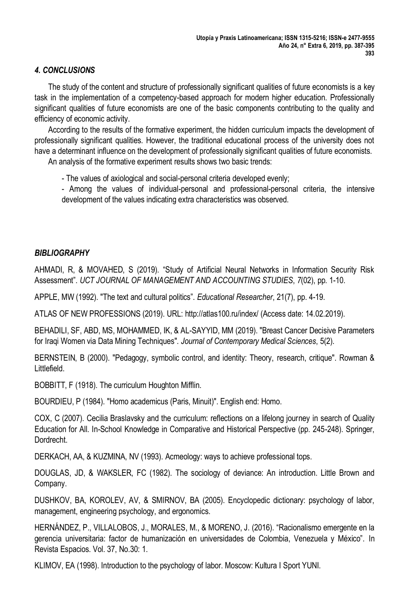# *4. CONCLUSIONS*

The study of the content and structure of professionally significant qualities of future economists is a key task in the implementation of a competency-based approach for modern higher education. Professionally significant qualities of future economists are one of the basic components contributing to the quality and efficiency of economic activity.

According to the results of the formative experiment, the hidden curriculum impacts the development of professionally significant qualities. However, the traditional educational process of the university does not have a determinant influence on the development of professionally significant qualities of future economists.

An analysis of the formative experiment results shows two basic trends:

- The values of axiological and social-personal criteria developed evenly;

- Among the values of individual-personal and professional-personal criteria, the intensive development of the values indicating extra characteristics was observed.

## *BIBLIOGRAPHY*

AHMADI, R, & MOVAHED, S (2019). "Study of Artificial Neural Networks in Information Security Risk Assessment". *UCT JOURNAL OF MANAGEMENT AND ACCOUNTING STUDIES*, *7*(02), pp. 1-10.

APPLE, MW (1992). "The text and cultural politics". *Educational Researcher*, 21(7), pp. 4-19.

ATLAS OF NEW PROFESSIONS (2019). URL: http://atlas100.ru/index/ (Access date: 14.02.2019).

BEHADILI, SF, ABD, MS, MOHAMMED, IK, & AL-SAYYID, MM (2019). "Breast Cancer Decisive Parameters for Iraqi Women via Data Mining Techniques". *Journal of Contemporary Medical Sciences*, 5(2).

BERNSTEIN, B (2000). "Pedagogy, symbolic control, and identity: Theory, research, critique". Rowman & Littlefield.

BOBBITT, F (1918). The curriculum Houghton Mifflin.

BOURDIEU, P (1984). "Homo academicus (Paris, Minuit)". English end: Homo.

COX, C (2007). Cecilia Braslavsky and the curriculum: reflections on a lifelong journey in search of Quality Education for All. In-School Knowledge in Comparative and Historical Perspective (pp. 245-248). Springer, Dordrecht.

DERKACH, AA, & KUZMINA, NV (1993). Acmeology: ways to achieve professional tops.

DOUGLAS, JD, & WAKSLER, FC (1982). The sociology of deviance: An introduction. Little Brown and Company.

DUSHKOV, BA, KOROLEV, AV, & SMIRNOV, BA (2005). Encyclopedic dictionary: psychology of labor, management, engineering psychology, and ergonomics.

HERNÁNDEZ, P., VILLALOBOS, J., MORALES, M., & MORENO, J. (2016). "Racionalismo emergente en la gerencia universitaria: factor de humanización en universidades de Colombia, Venezuela y México". In Revista Espacios. Vol. 37, No.30: 1.

KLIMOV, EA (1998). Introduction to the psychology of labor. Moscow: Kultura I Sport YUNI.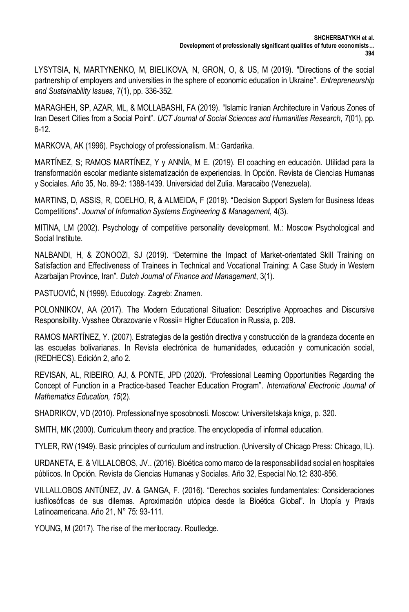LYSYTSIA, N, MARTYNENKO, M, BIELIKOVA, N, GRON, O, & US, M (2019). "Directions of the social partnership of employers and universities in the sphere of economic education in Ukraine". *Entrepreneurship and Sustainability Issues*, 7(1), pp. 336-352.

MARAGHEH, SP, AZAR, ML, & MOLLABASHI, FA (2019). "Islamic Iranian Architecture in Various Zones of Iran Desert Cities from a Social Point". *UCT Journal of Social Sciences and Humanities Research*, *7*(01), pp. 6-12.

MARKOVA, AK (1996). Psychology of professionalism. M.: Gardarika.

MARTÍNEZ, S; RAMOS MARTÍNEZ, Y y ANNÍA, M E. (2019). El coaching en educación. Utilidad para la transformación escolar mediante sistematización de experiencias. In Opción. Revista de Ciencias Humanas y Sociales. Año 35, No. 89-2: 1388-1439. Universidad del Zulia. Maracaibo (Venezuela).

MARTINS, D, ASSIS, R, COELHO, R, & ALMEIDA, F (2019). "Decision Support System for Business Ideas Competitions". *Journal of Information Systems Engineering & Management*, 4(3).

MITINA, LM (2002). Psychology of competitive personality development. M.: Moscow Psychological and Social Institute.

NALBANDI, H, & ZONOOZI, SJ (2019). "Determine the Impact of Market-orientated Skill Training on Satisfaction and Effectiveness of Trainees in Technical and Vocational Training: A Case Study in Western Azarbaijan Province, Iran". *Dutch Journal of Finance and Management*, 3(1).

PASTUOVIĆ, N (1999). Educology. Zagreb: Znamen.

POLONNIKOV, AA (2017). The Modern Educational Situation: Descriptive Approaches and Discursive Responsibility. Vysshee Obrazovanie v Rossii= Higher Education in Russia, p. 209.

RAMOS MARTÍNEZ, Y. (2007). Estrategias de la gestión directiva y construcción de la grandeza docente en las escuelas bolivarianas. In Revista electrónica de humanidades, educación y comunicación social, (REDHECS). Edición 2, año 2.

REVISAN. AL, RIBEIRO, AJ, & PONTE, JPD (2020). "Professional Leaming Opportunities Regarding the Concept of Function in a Practice-based Teacher Education Program". *International Electronic Journal of Mathematics Education, 15*(2).

SHADRIKOV, VD (2010). Professional'nye sposobnosti. Moscow: Universitetskaja kniga, p. 320.

SMITH, MK (2000). Curriculum theory and practice. The encyclopedia of informal education.

TYLER, RW (1949). Basic principles of curriculum and instruction. (University of Chicago Press: Chicago, IL).

URDANETA, E. & VILLALOBOS, JV.. (2016). Bioética como marco de la responsabilidad social en hospitales públicos. In Opción. Revista de Ciencias Humanas y Sociales. Año 32, Especial No.12: 830-856.

VILLALLOBOS ANTÚNEZ, JV. & GANGA, F. (2016). "Derechos sociales fundamentales: Consideraciones iusfilosóficas de sus dilemas. Aproximación utópica desde la Bioética Global". In Utopía y Praxis Latinoamericana. Año 21, N° 75: 93-111.

YOUNG, M (2017). The rise of the meritocracy. Routledge.